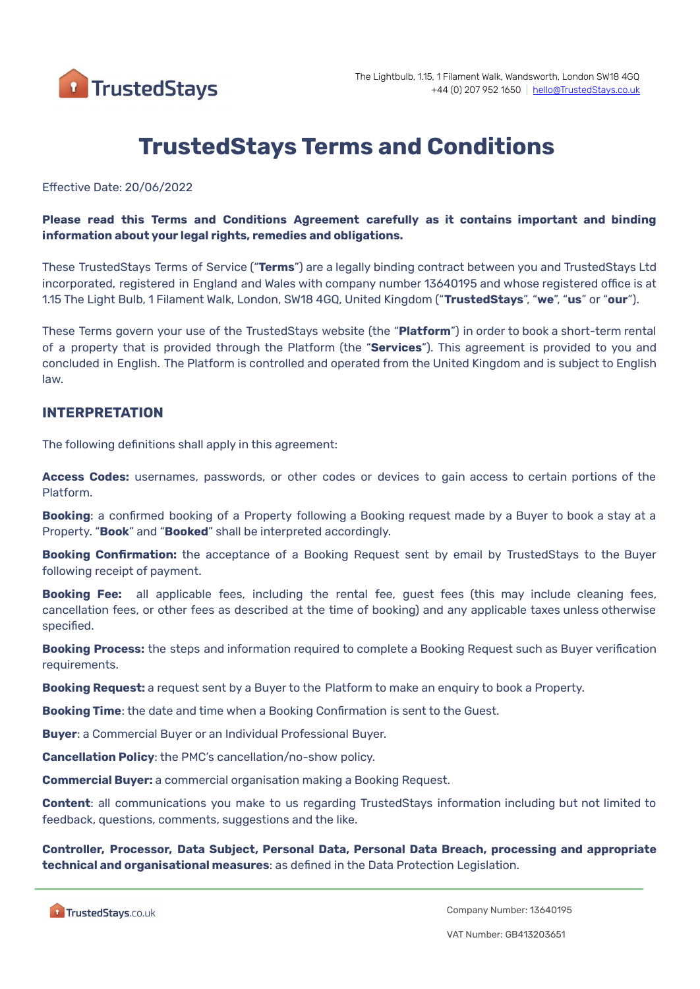

# **TrustedStays Terms and Conditions**

#### Effective Date: 20/06/2022

#### **Please read this Terms and Conditions Agreement carefully as it contains important and binding information about your legal rights, remedies and obligations.**

These TrustedStays Terms of Service ("**Terms**") are a legally binding contract between you and TrustedStays Ltd incorporated, registered in England and Wales with company number 13640195 and whose registered office is at 1.15 The Light Bulb, 1 Filament Walk, London, SW18 4GQ, United Kingdom ("**TrustedStays**", "**we**", "**us**" or "**our**").

These Terms govern your use of the TrustedStays website (the "**Platform**") in order to book a short-term rental of a property that is provided through the Platform (the "**Services**"). This agreement is provided to you and concluded in English. The Platform is controlled and operated from the United Kingdom and is subject to English law.

#### **INTERPRETATION**

The following definitions shall apply in this agreement:

**Access Codes:** usernames, passwords, or other codes or devices to gain access to certain portions of the Platform.

**Booking**: a confirmed booking of a Property following a Booking request made by a Buyer to book a stay at a Property. "**Book**" and "**Booked**" shall be interpreted accordingly.

**Booking Confirmation:** the acceptance of a Booking Request sent by email by TrustedStays to the Buyer following receipt of payment.

**Booking Fee:** all applicable fees, including the rental fee, guest fees (this may include cleaning fees, cancellation fees, or other fees as described at the time of booking) and any applicable taxes unless otherwise specified.

**Booking Process:** the steps and information required to complete a Booking Request such as Buyer verification requirements.

**Booking Request:** a request sent by a Buyer to the Platform to make an enquiry to book a Property.

**Booking Time**: the date and time when a Booking Confirmation is sent to the Guest.

**Buyer**: a Commercial Buyer or an Individual Professional Buyer.

**Cancellation Policy**: the PMC's cancellation/no-show policy.

**Commercial Buyer:** a commercial organisation making a Booking Request.

**Content**: all communications you make to us regarding TrustedStays information including but not limited to feedback, questions, comments, suggestions and the like.

**Controller, Processor, Data Subject, Personal Data, Personal Data Breach, processing and appropriate technical and organisational measures**: as defined in the Data Protection Legislation.

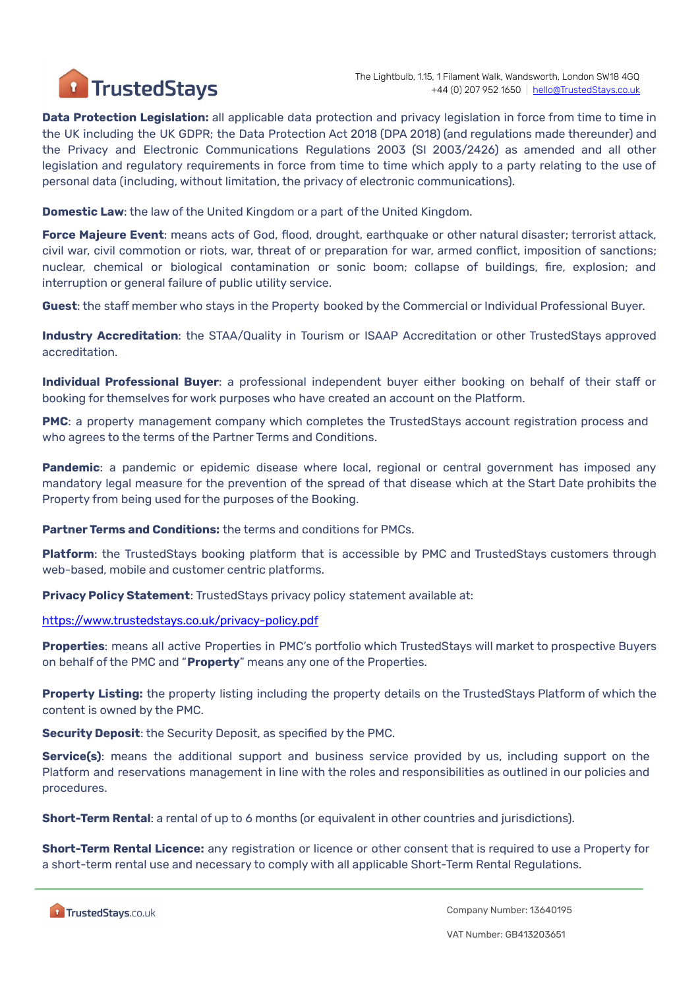

**Data Protection Legislation:** all applicable data protection and privacy legislation in force from time to time in the UK including the UK GDPR; the Data Protection Act 2018 (DPA 2018) (and regulations made thereunder) and the Privacy and Electronic Communications Regulations 2003 (SI 2003/2426) as amended and all other legislation and regulatory requirements in force from time to time which apply to a party relating to the use of personal data (including, without limitation, the privacy of electronic communications).

**Domestic Law**: the law of the United Kingdom or a part of the United Kingdom.

**Force Majeure Event**: means acts of God, flood, drought, earthquake or other natural disaster; terrorist attack, civil war, civil commotion or riots, war, threat of or preparation for war, armed conflict, imposition of sanctions; nuclear, chemical or biological contamination or sonic boom; collapse of buildings, fire, explosion; and interruption or general failure of public utility service.

**Guest**: the staff member who stays in the Property booked by the Commercial or Individual Professional Buyer.

**Industry Accreditation**: the STAA/Quality in Tourism or ISAAP Accreditation or other TrustedStays approved accreditation.

**Individual Professional Buyer**: a professional independent buyer either booking on behalf of their staff or booking for themselves for work purposes who have created an account on the Platform.

**PMC**: a property management company which completes the TrustedStays account registration process and who agrees to the terms of the Partner Terms and Conditions.

**Pandemic**: a pandemic or epidemic disease where local, regional or central government has imposed any mandatory legal measure for the prevention of the spread of that disease which at the Start Date prohibits the Property from being used for the purposes of the Booking.

**Partner Terms and Conditions:** the terms and conditions for PMCs.

**Platform**: the TrustedStays booking platform that is accessible by PMC and TrustedStays customers through web-based, mobile and customer centric platforms.

**Privacy Policy Statement**: TrustedStays privacy policy statement available at:

<https://www.trustedstays.co.uk/privacy-policy.pdf>

**Properties**: means all active Properties in PMC's portfolio which TrustedStays will market to prospective Buyers on behalf of the PMC and "**Property**" means any one of the Properties.

**Property Listing:** the property listing including the property details on the TrustedStays Platform of which the content is owned by the PMC.

**Security Deposit**: the Security Deposit, as specified by the PMC.

**Service(s)**: means the additional support and business service provided by us, including support on the Platform and reservations management in line with the roles and responsibilities as outlined in our policies and procedures.

**Short-Term Rental**: a rental of up to 6 months (or equivalent in other countries and jurisdictions).

**Short-Term Rental Licence:** any registration or licence or other consent that is required to use a Property for a short-term rental use and necessary to comply with all applicable Short-Term Rental Regulations.

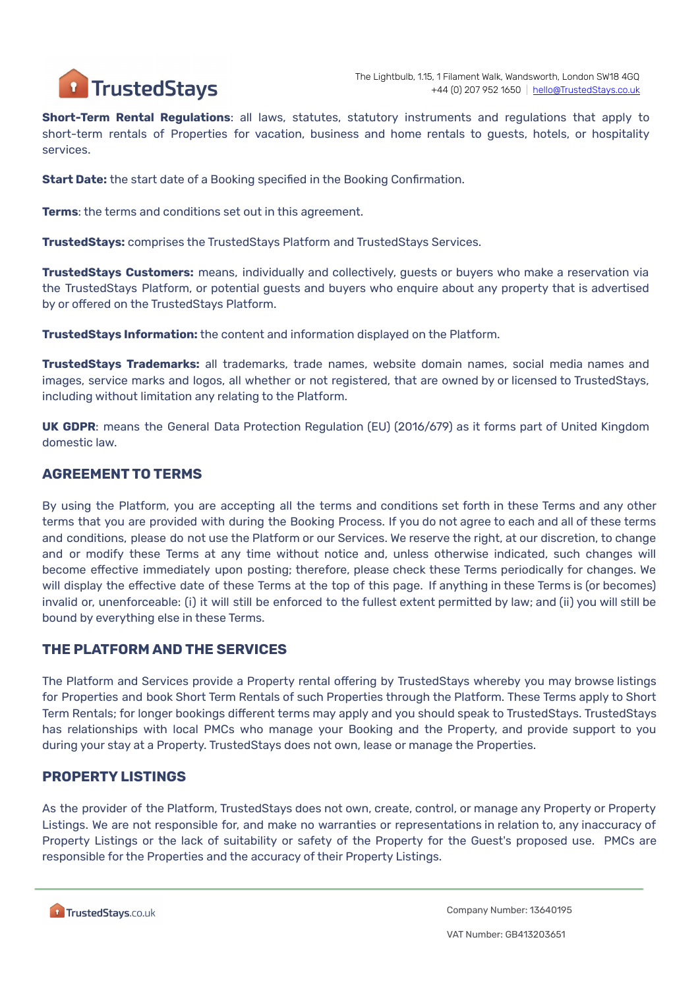

**Short-Term Rental Regulations**: all laws, statutes, statutory instruments and regulations that apply to short-term rentals of Properties for vacation, business and home rentals to guests, hotels, or hospitality services.

**Start Date:** the start date of a Booking specified in the Booking Confirmation.

**Terms**: the terms and conditions set out in this agreement.

**TrustedStays:** comprises the TrustedStays Platform and TrustedStays Services.

**TrustedStays Customers:** means, individually and collectively, guests or buyers who make a reservation via the TrustedStays Platform, or potential guests and buyers who enquire about any property that is advertised by or offered on the TrustedStays Platform.

**TrustedStays Information:** the content and information displayed on the Platform.

**TrustedStays Trademarks:** all trademarks, trade names, website domain names, social media names and images, service marks and logos, all whether or not registered, that are owned by or licensed to TrustedStays, including without limitation any relating to the Platform.

**UK GDPR**: means the General Data Protection Regulation (EU) (2016/679) as it forms part of United Kingdom domestic law.

#### **AGREEMENT TO TERMS**

By using the Platform, you are accepting all the terms and conditions set forth in these Terms and any other terms that you are provided with during the Booking Process. If you do not agree to each and all of these terms and conditions, please do not use the Platform or our Services. We reserve the right, at our discretion, to change and or modify these Terms at any time without notice and, unless otherwise indicated, such changes will become effective immediately upon posting; therefore, please check these Terms periodically for changes. We will display the effective date of these Terms at the top of this page. If anything in these Terms is (or becomes) invalid or, unenforceable: (i) it will still be enforced to the fullest extent permitted by law; and (ii) you will still be bound by everything else in these Terms.

#### **THE PLATFORM AND THE SERVICES**

The Platform and Services provide a Property rental offering by TrustedStays whereby you may browse listings for Properties and book Short Term Rentals of such Properties through the Platform. These Terms apply to Short Term Rentals; for longer bookings different terms may apply and you should speak to TrustedStays. TrustedStays has relationships with local PMCs who manage your Booking and the Property, and provide support to you during your stay at a Property. TrustedStays does not own, lease or manage the Properties.

#### **PROPERTY LISTINGS**

As the provider of the Platform, TrustedStays does not own, create, control, or manage any Property or Property Listings. We are not responsible for, and make no warranties or representations in relation to, any inaccuracy of Property Listings or the lack of suitability or safety of the Property for the Guest's proposed use. PMCs are responsible for the Properties and the accuracy of their Property Listings.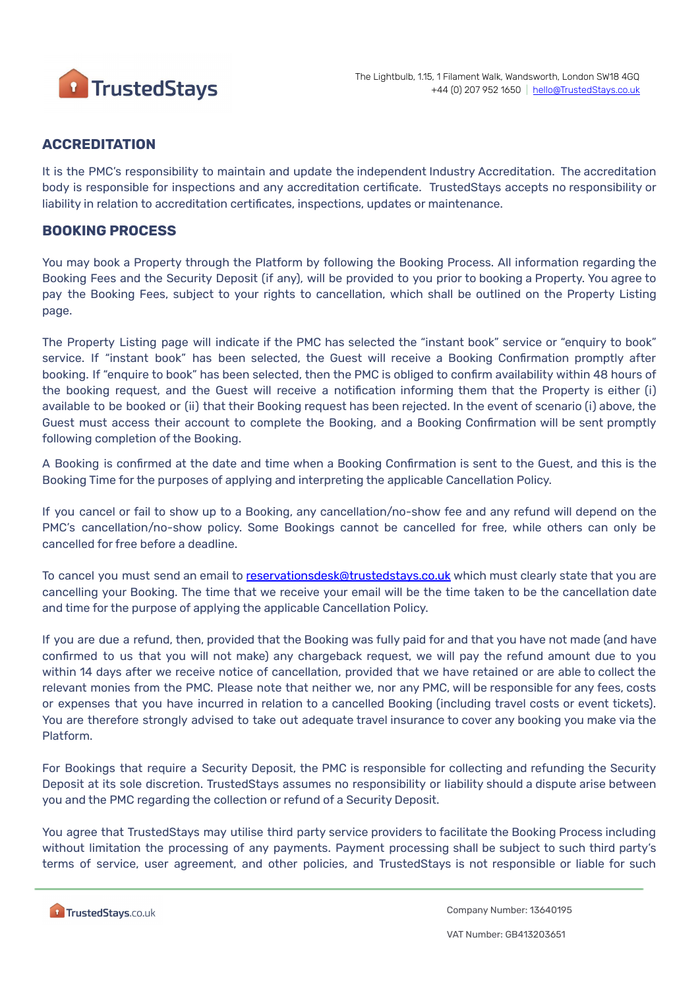

### **ACCREDITATION**

It is the PMC's responsibility to maintain and update the independent Industry Accreditation. The accreditation body is responsible for inspections and any accreditation certificate. TrustedStays accepts no responsibility or liability in relation to accreditation certificates, inspections, updates or maintenance.

#### **BOOKING PROCESS**

You may book a Property through the Platform by following the Booking Process. All information regarding the Booking Fees and the Security Deposit (if any), will be provided to you prior to booking a Property. You agree to pay the Booking Fees, subject to your rights to cancellation, which shall be outlined on the Property Listing page.

The Property Listing page will indicate if the PMC has selected the "instant book" service or "enquiry to book" service. If "instant book" has been selected, the Guest will receive a Booking Confirmation promptly after booking. If "enquire to book" has been selected, then the PMC is obliged to confirm availability within 48 hours of the booking request, and the Guest will receive a notification informing them that the Property is either (i) available to be booked or (ii) that their Booking request has been rejected. In the event of scenario (i) above, the Guest must access their account to complete the Booking, and a Booking Confirmation will be sent promptly following completion of the Booking.

A Booking is confirmed at the date and time when a Booking Confirmation is sent to the Guest, and this is the Booking Time for the purposes of applying and interpreting the applicable Cancellation Policy.

If you cancel or fail to show up to a Booking, any cancellation/no-show fee and any refund will depend on the PMC's cancellation/no-show policy. Some Bookings cannot be cancelled for free, while others can only be cancelled for free before a deadline.

To cancel you must send an email to [reservationsdesk@trustedstays.co.uk](mailto:reservationsdesk@trustedstays.co.uk) which must clearly state that you are cancelling your Booking. The time that we receive your email will be the time taken to be the cancellation date and time for the purpose of applying the applicable Cancellation Policy.

If you are due a refund, then, provided that the Booking was fully paid for and that you have not made (and have confirmed to us that you will not make) any chargeback request, we will pay the refund amount due to you within 14 days after we receive notice of cancellation, provided that we have retained or are able to collect the relevant monies from the PMC. Please note that neither we, nor any PMC, will be responsible for any fees, costs or expenses that you have incurred in relation to a cancelled Booking (including travel costs or event tickets). You are therefore strongly advised to take out adequate travel insurance to cover any booking you make via the Platform.

For Bookings that require a Security Deposit, the PMC is responsible for collecting and refunding the Security Deposit at its sole discretion. TrustedStays assumes no responsibility or liability should a dispute arise between you and the PMC regarding the collection or refund of a Security Deposit.

You agree that TrustedStays may utilise third party service providers to facilitate the Booking Process including without limitation the processing of any payments. Payment processing shall be subject to such third party's terms of service, user agreement, and other policies, and TrustedStays is not responsible or liable for such

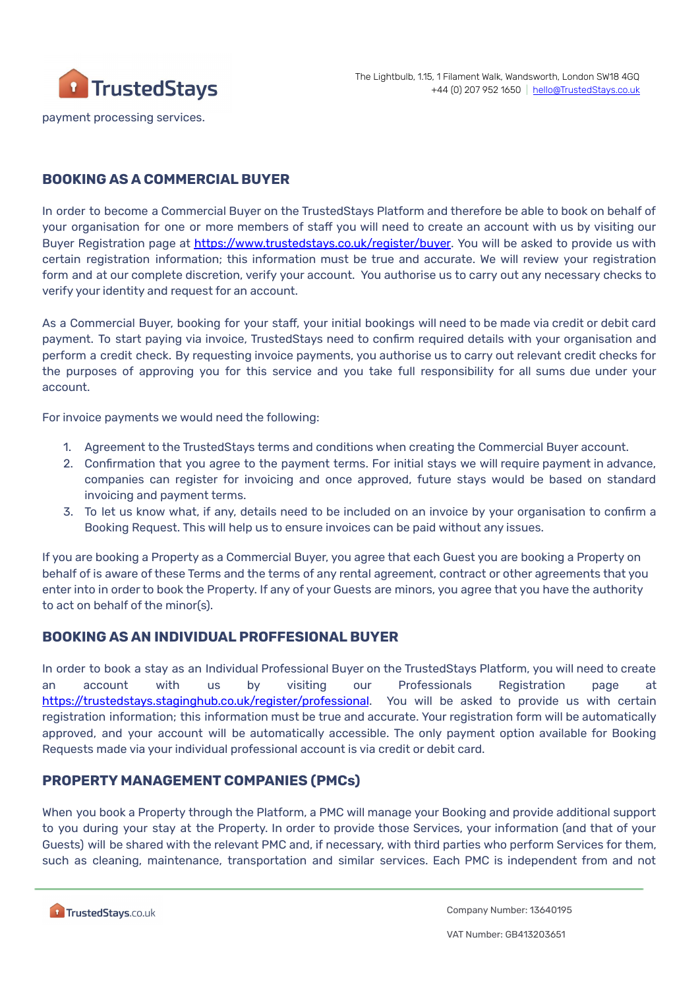

payment processing services.

# **BOOKING AS A COMMERCIAL BUYER**

In order to become a Commercial Buyer on the TrustedStays Platform and therefore be able to book on behalf of your organisation for one or more members of staff you will need to create an account with us by visiting our Buyer Registration page at <https://www.trustedstays.co.uk/register/buyer>. You will be asked to provide us with certain registration information; this information must be true and accurate. We will review your registration form and at our complete discretion, verify your account. You authorise us to carry out any necessary checks to verify your identity and request for an account.

As a Commercial Buyer, booking for your staff, your initial bookings will need to be made via credit or debit card payment. To start paying via invoice, TrustedStays need to confirm required details with your organisation and perform a credit check. By requesting invoice payments, you authorise us to carry out relevant credit checks for the purposes of approving you for this service and you take full responsibility for all sums due under your account.

For invoice payments we would need the following:

- 1. Agreement to the TrustedStays terms and conditions when creating the Commercial Buyer account.
- 2. Confirmation that you agree to the payment terms. For initial stays we will require payment in advance, companies can register for invoicing and once approved, future stays would be based on standard invoicing and payment terms.
- 3. To let us know what, if any, details need to be included on an invoice by your organisation to confirm a Booking Request. This will help us to ensure invoices can be paid without any issues.

If you are booking a Property as a Commercial Buyer, you agree that each Guest you are booking a Property on behalf of is aware of these Terms and the terms of any rental agreement, contract or other agreements that you enter into in order to book the Property. If any of your Guests are minors, you agree that you have the authority to act on behalf of the minor(s).

# **BOOKING AS AN INDIVIDUAL PROFFESIONAL BUYER**

In order to book a stay as an Individual Professional Buyer on the TrustedStays Platform, you will need to create an account with us by visiting our Professionals Registration page at <https://trustedstays.staginghub.co.uk/register/professional>. You will be asked to provide us with certain registration information; this information must be true and accurate. Your registration form will be automatically approved, and your account will be automatically accessible. The only payment option available for Booking Requests made via your individual professional account is via credit or debit card.

# **PROPERTY MANAGEMENT COMPANIES (PMCs)**

When you book a Property through the Platform, a PMC will manage your Booking and provide additional support to you during your stay at the Property. In order to provide those Services, your information (and that of your Guests) will be shared with the relevant PMC and, if necessary, with third parties who perform Services for them, such as cleaning, maintenance, transportation and similar services. Each PMC is independent from and not

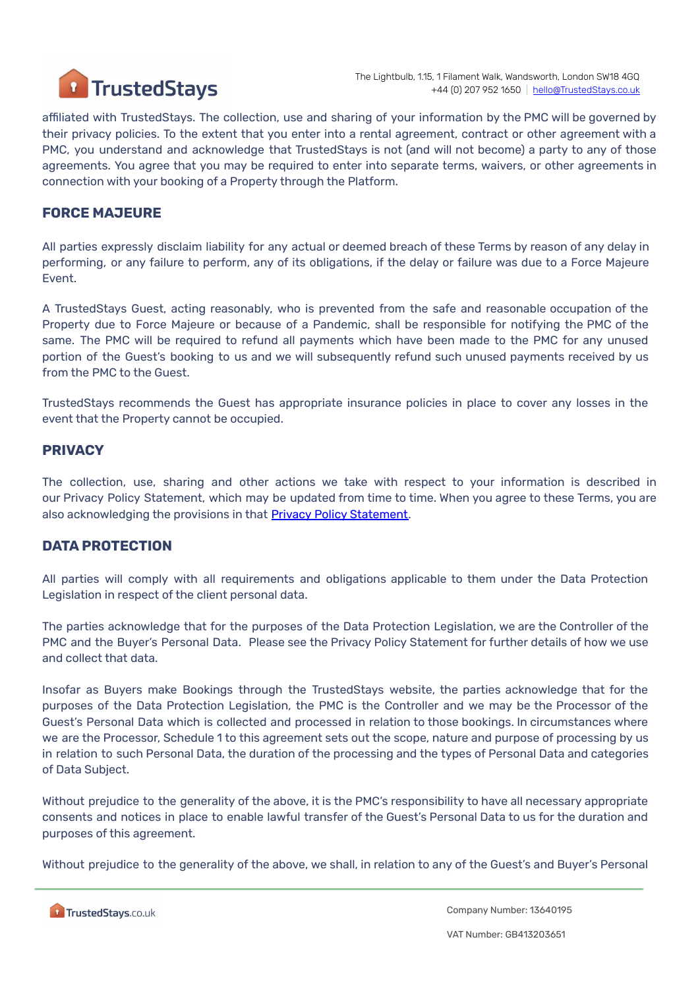

affiliated with TrustedStays. The collection, use and sharing of your information by the PMC will be governed by their privacy policies. To the extent that you enter into a rental agreement, contract or other agreement with a PMC, you understand and acknowledge that TrustedStays is not (and will not become) a party to any of those agreements. You agree that you may be required to enter into separate terms, waivers, or other agreements in connection with your booking of a Property through the Platform.

#### **FORCE MAJEURE**

All parties expressly disclaim liability for any actual or deemed breach of these Terms by reason of any delay in performing, or any failure to perform, any of its obligations, if the delay or failure was due to a Force Majeure Event.

A TrustedStays Guest, acting reasonably, who is prevented from the safe and reasonable occupation of the Property due to Force Majeure or because of a Pandemic, shall be responsible for notifying the PMC of the same. The PMC will be required to refund all payments which have been made to the PMC for any unused portion of the Guest's booking to us and we will subsequently refund such unused payments received by us from the PMC to the Guest.

TrustedStays recommends the Guest has appropriate insurance policies in place to cover any losses in the event that the Property cannot be occupied.

#### **PRIVACY**

The collection, use, sharing and other actions we take with respect to your information is described in our Privacy Policy Statement, which may be updated from time to time. When you agree to these Terms, you are also acknowledging the provisions in that Privacy Policy [Statement.](https://www.trustedstays.co.uk/privacy-policy.pdf)

#### **DATA PROTECTION**

All parties will comply with all requirements and obligations applicable to them under the Data Protection Legislation in respect of the client personal data.

The parties acknowledge that for the purposes of the Data Protection Legislation, we are the Controller of the PMC and the Buyer's Personal Data. Please see the Privacy Policy Statement for further details of how we use and collect that data.

Insofar as Buyers make Bookings through the TrustedStays website, the parties acknowledge that for the purposes of the Data Protection Legislation, the PMC is the Controller and we may be the Processor of the Guest's Personal Data which is collected and processed in relation to those bookings. In circumstances where we are the Processor, Schedule 1 to this agreement sets out the scope, nature and purpose of processing by us in relation to such Personal Data, the duration of the processing and the types of Personal Data and categories of Data Subject.

Without prejudice to the generality of the above, it is the PMC's responsibility to have all necessary appropriate consents and notices in place to enable lawful transfer of the Guest's Personal Data to us for the duration and purposes of this agreement.

Without prejudice to the generality of the above, we shall, in relation to any of the Guest's and Buyer's Personal

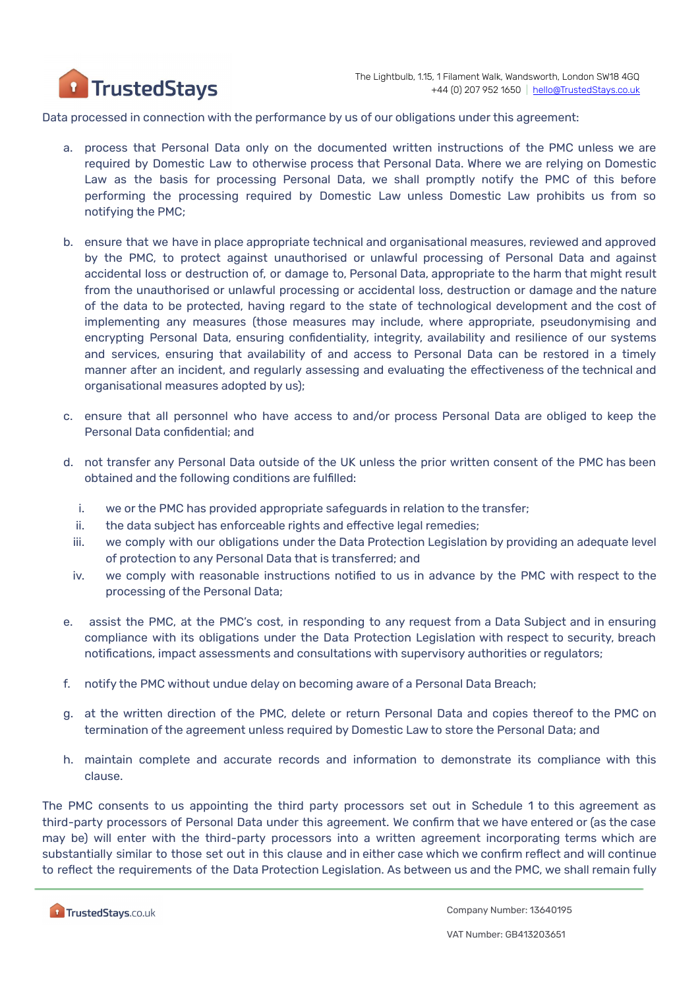

Data processed in connection with the performance by us of our obligations under this agreement:

- a. process that Personal Data only on the documented written instructions of the PMC unless we are required by Domestic Law to otherwise process that Personal Data. Where we are relying on Domestic Law as the basis for processing Personal Data, we shall promptly notify the PMC of this before performing the processing required by Domestic Law unless Domestic Law prohibits us from so notifying the PMC;
- b. ensure that we have in place appropriate technical and organisational measures, reviewed and approved by the PMC, to protect against unauthorised or unlawful processing of Personal Data and against accidental loss or destruction of, or damage to, Personal Data, appropriate to the harm that might result from the unauthorised or unlawful processing or accidental loss, destruction or damage and the nature of the data to be protected, having regard to the state of technological development and the cost of implementing any measures (those measures may include, where appropriate, pseudonymising and encrypting Personal Data, ensuring confidentiality, integrity, availability and resilience of our systems and services, ensuring that availability of and access to Personal Data can be restored in a timely manner after an incident, and regularly assessing and evaluating the effectiveness of the technical and organisational measures adopted by us);
- c. ensure that all personnel who have access to and/or process Personal Data are obliged to keep the Personal Data confidential; and
- d. not transfer any Personal Data outside of the UK unless the prior written consent of the PMC has been obtained and the following conditions are fulfilled:
	- i. we or the PMC has provided appropriate safeguards in relation to the transfer;
	- ii. the data subject has enforceable rights and effective legal remedies;
	- iii. we comply with our obligations under the Data Protection Legislation by providing an adequate level of protection to any Personal Data that is transferred; and
	- iv. we comply with reasonable instructions notified to us in advance by the PMC with respect to the processing of the Personal Data;
- e. assist the PMC, at the PMC's cost, in responding to any request from a Data Subject and in ensuring compliance with its obligations under the Data Protection Legislation with respect to security, breach notifications, impact assessments and consultations with supervisory authorities or regulators;
- f. notify the PMC without undue delay on becoming aware of a Personal Data Breach;
- g. at the written direction of the PMC, delete or return Personal Data and copies thereof to the PMC on termination of the agreement unless required by Domestic Law to store the Personal Data; and
- h. maintain complete and accurate records and information to demonstrate its compliance with this clause.

The PMC consents to us appointing the third party processors set out in Schedule 1 to this agreement as third-party processors of Personal Data under this agreement. We confirm that we have entered or (as the case may be) will enter with the third-party processors into a written agreement incorporating terms which are substantially similar to those set out in this clause and in either case which we confirm reflect and will continue to reflect the requirements of the Data Protection Legislation. As between us and the PMC, we shall remain fully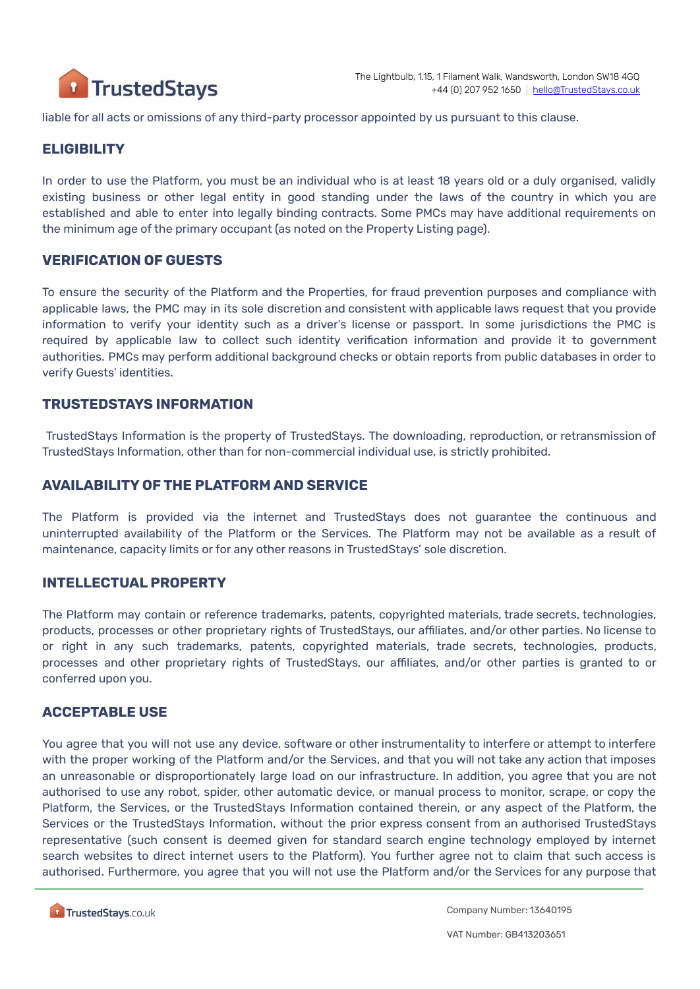

liable for all acts or omissions of any third-party processor appointed by us pursuant to this clause.

#### **ELIGIBILITY**

In order to use the Platform, you must be an individual who is at least 18 years old or a duly organised, validly existing business or other legal entity in good standing under the laws of the country in which you are established and able to enter into legally binding contracts. Some PMCs may have additional requirements on the minimum age of the primary occupant (as noted on the Property Listing page).

#### **VERIFICATION OF GUESTS**

To ensure the security of the Platform and the Properties, for fraud prevention purposes and compliance with applicable laws, the PMC may in its sole discretion and consistent with applicable laws request that you provide information to verify your identity such as a driver's license or passport. In some jurisdictions the PMC is required by applicable law to collect such identity verification information and provide it to government authorities. PMCs may perform additional background checks or obtain reports from public databases in order to verify Guests' identities.

#### **TRUSTEDSTAYS INFORMATION**

TrustedStays Information is the property of TrustedStays. The downloading, reproduction, or retransmission of TrustedStays Information, other than for non-commercial individual use, is strictly prohibited.

#### **AVAILABILITY OF THE PLATFORM AND SERVICE**

The Platform is provided via the internet and TrustedStays does not guarantee the continuous and uninterrupted availability of the Platform or the Services. The Platform may not be available as a result of maintenance, capacity limits or for any other reasons in TrustedStays' sole discretion.

#### **INTELLECTUAL PROPERTY**

The Platform may contain or reference trademarks, patents, copyrighted materials, trade secrets, technologies, products, processes or other proprietary rights of TrustedStays, our affiliates, and/or other parties. No license to or right in any such trademarks, patents, copyrighted materials, trade secrets, technologies, products, processes and other proprietary rights of TrustedStays, our affiliates, and/or other parties is granted to or conferred upon you.

#### **ACCEPTABLE USE**

You agree that you will not use any device, software or other instrumentality to interfere or attempt to interfere with the proper working of the Platform and/or the Services, and that you will not take any action that imposes an unreasonable or disproportionately large load on our infrastructure. In addition, you agree that you are not authorised to use any robot, spider, other automatic device, or manual process to monitor, scrape, or copy the Platform, the Services, or the TrustedStays Information contained therein, or any aspect of the Platform, the Services or the TrustedStays Information, without the prior express consent from an authorised TrustedStays representative (such consent is deemed given for standard search engine technology employed by internet search websites to direct internet users to the Platform). You further agree not to claim that such access is authorised. Furthermore, you agree that you will not use the Platform and/or the Services for any purpose that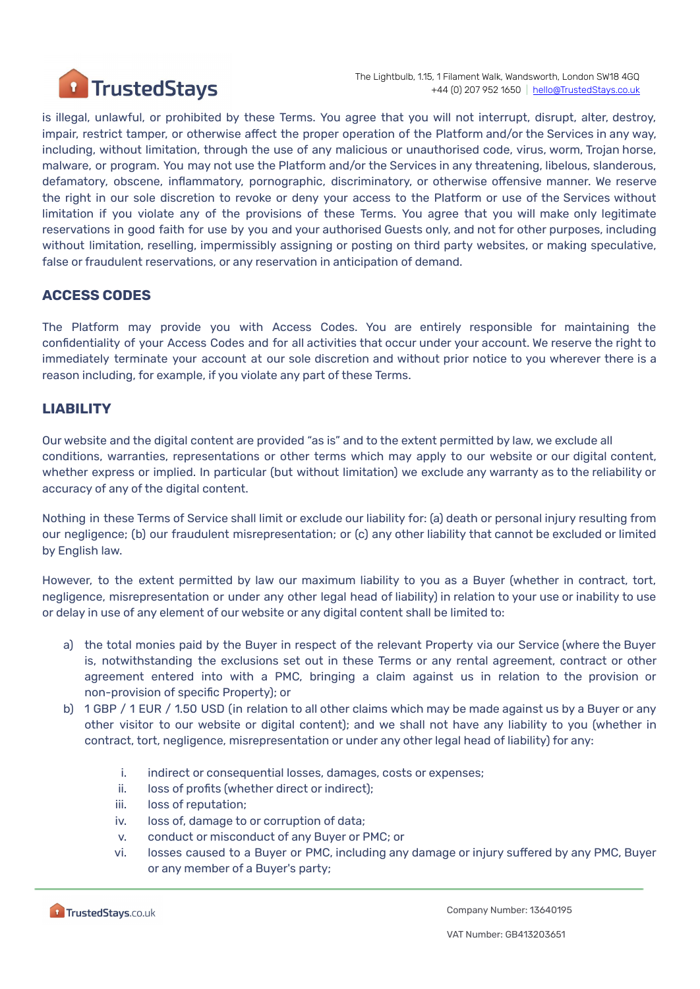

is illegal, unlawful, or prohibited by these Terms. You agree that you will not interrupt, disrupt, alter, destroy, impair, restrict tamper, or otherwise affect the proper operation of the Platform and/or the Services in any way, including, without limitation, through the use of any malicious or unauthorised code, virus, worm, Trojan horse, malware, or program. You may not use the Platform and/or the Services in any threatening, libelous, slanderous, defamatory, obscene, inflammatory, pornographic, discriminatory, or otherwise offensive manner. We reserve the right in our sole discretion to revoke or deny your access to the Platform or use of the Services without limitation if you violate any of the provisions of these Terms. You agree that you will make only legitimate reservations in good faith for use by you and your authorised Guests only, and not for other purposes, including without limitation, reselling, impermissibly assigning or posting on third party websites, or making speculative, false or fraudulent reservations, or any reservation in anticipation of demand.

# **ACCESS CODES**

The Platform may provide you with Access Codes. You are entirely responsible for maintaining the confidentiality of your Access Codes and for all activities that occur under your account. We reserve the right to immediately terminate your account at our sole discretion and without prior notice to you wherever there is a reason including, for example, if you violate any part of these Terms.

# **LIABILITY**

Our website and the digital content are provided "as is" and to the extent permitted by law, we exclude all conditions, warranties, representations or other terms which may apply to our website or our digital content, whether express or implied. In particular (but without limitation) we exclude any warranty as to the reliability or accuracy of any of the digital content.

Nothing in these Terms of Service shall limit or exclude our liability for: (a) death or personal injury resulting from our negligence; (b) our fraudulent misrepresentation; or (c) any other liability that cannot be excluded or limited by English law.

However, to the extent permitted by law our maximum liability to you as a Buyer (whether in contract, tort, negligence, misrepresentation or under any other legal head of liability) in relation to your use or inability to use or delay in use of any element of our website or any digital content shall be limited to:

- a) the total monies paid by the Buyer in respect of the relevant Property via our Service (where the Buyer is, notwithstanding the exclusions set out in these Terms or any rental agreement, contract or other agreement entered into with a PMC, bringing a claim against us in relation to the provision or non-provision of specific Property); or
- b) 1 GBP / 1 EUR / 1.50 USD (in relation to all other claims which may be made against us by a Buyer or any other visitor to our website or digital content); and we shall not have any liability to you (whether in contract, tort, negligence, misrepresentation or under any other legal head of liability) for any:
	- i. indirect or consequential losses, damages, costs or expenses;
	- ii. loss of profits (whether direct or indirect);
	- iii. loss of reputation;
	- iv. loss of, damage to or corruption of data;
	- v. conduct or misconduct of any Buyer or PMC; or
	- vi. losses caused to a Buyer or PMC, including any damage or injury suffered by any PMC, Buyer or any member of a Buyer's party;

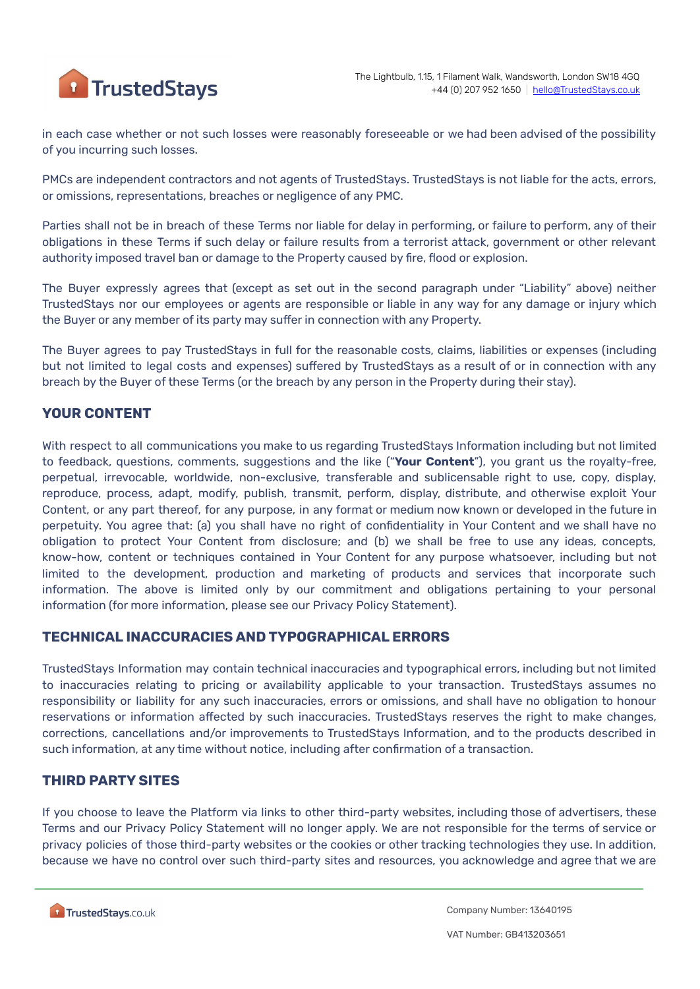

in each case whether or not such losses were reasonably foreseeable or we had been advised of the possibility of you incurring such losses.

PMCs are independent contractors and not agents of TrustedStays. TrustedStays is not liable for the acts, errors, or omissions, representations, breaches or negligence of any PMC.

Parties shall not be in breach of these Terms nor liable for delay in performing, or failure to perform, any of their obligations in these Terms if such delay or failure results from a terrorist attack, government or other relevant authority imposed travel ban or damage to the Property caused by fire, flood or explosion.

The Buyer expressly agrees that (except as set out in the second paragraph under "Liability" above) neither TrustedStays nor our employees or agents are responsible or liable in any way for any damage or injury which the Buyer or any member of its party may suffer in connection with any Property.

The Buyer agrees to pay TrustedStays in full for the reasonable costs, claims, liabilities or expenses (including but not limited to legal costs and expenses) suffered by TrustedStays as a result of or in connection with any breach by the Buyer of these Terms (or the breach by any person in the Property during their stay).

# **YOUR CONTENT**

With respect to all communications you make to us regarding TrustedStays Information including but not limited to feedback, questions, comments, suggestions and the like ("**Your Content**"), you grant us the royalty-free, perpetual, irrevocable, worldwide, non-exclusive, transferable and sublicensable right to use, copy, display, reproduce, process, adapt, modify, publish, transmit, perform, display, distribute, and otherwise exploit Your Content, or any part thereof, for any purpose, in any format or medium now known or developed in the future in perpetuity. You agree that: (a) you shall have no right of confidentiality in Your Content and we shall have no obligation to protect Your Content from disclosure; and (b) we shall be free to use any ideas, concepts, know-how, content or techniques contained in Your Content for any purpose whatsoever, including but not limited to the development, production and marketing of products and services that incorporate such information. The above is limited only by our commitment and obligations pertaining to your personal information (for more information, please see our Privacy Policy [Statement](https://www.marriott.com/about/privacy.mi)).

#### **TECHNICAL INACCURACIES AND TYPOGRAPHICAL ERRORS**

TrustedStays Information may contain technical inaccuracies and typographical errors, including but not limited to inaccuracies relating to pricing or availability applicable to your transaction. TrustedStays assumes no responsibility or liability for any such inaccuracies, errors or omissions, and shall have no obligation to honour reservations or information affected by such inaccuracies. TrustedStays reserves the right to make changes, corrections, cancellations and/or improvements to TrustedStays Information, and to the products described in such information, at any time without notice, including after confirmation of a transaction.

# **THIRD PARTY SITES**

If you choose to leave the Platform via links to other third-party websites, including those of advertisers, these Terms and our Privacy Policy Statement will no longer apply. We are not responsible for the terms of service or privacy policies of those third-party websites or the cookies or other tracking technologies they use. In addition, because we have no control over such third-party sites and resources, you acknowledge and agree that we are

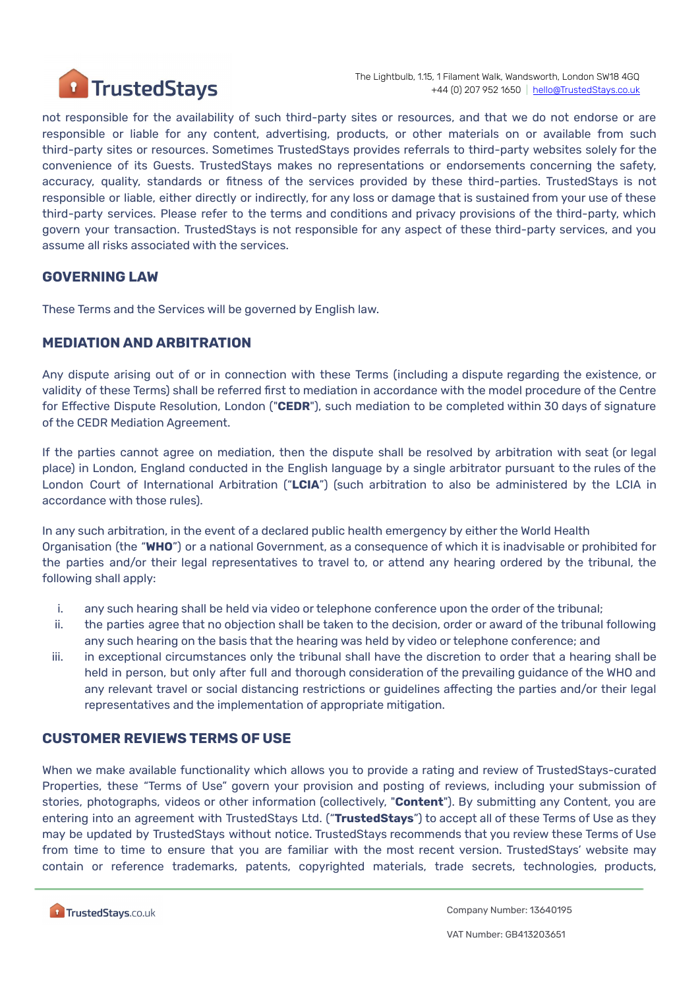

not responsible for the availability of such third-party sites or resources, and that we do not endorse or are responsible or liable for any content, advertising, products, or other materials on or available from such third-party sites or resources. Sometimes TrustedStays provides referrals to third-party websites solely for the convenience of its Guests. TrustedStays makes no representations or endorsements concerning the safety, accuracy, quality, standards or fitness of the services provided by these third-parties. TrustedStays is not responsible or liable, either directly or indirectly, for any loss or damage that is sustained from your use of these third-party services. Please refer to the terms and conditions and privacy provisions of the third-party, which govern your transaction. TrustedStays is not responsible for any aspect of these third-party services, and you assume all risks associated with the services.

#### **GOVERNING LAW**

These Terms and the Services will be governed by English law.

#### **MEDIATION AND ARBITRATION**

Any dispute arising out of or in connection with these Terms (including a dispute regarding the existence, or validity of these Terms) shall be referred first to mediation in accordance with the model procedure of the Centre for Effective Dispute Resolution, London ("**CEDR**"), such mediation to be completed within 30 days of signature of the CEDR Mediation Agreement.

If the parties cannot agree on mediation, then the dispute shall be resolved by arbitration with seat (or legal place) in London, England conducted in the English language by a single arbitrator pursuant to the rules of the London Court of International Arbitration ("**LCIA**") (such arbitration to also be administered by the LCIA in accordance with those rules).

In any such arbitration, in the event of a declared public health emergency by either the World Health Organisation (the "**WHO**") or a national Government, as a consequence of which it is inadvisable or prohibited for the parties and/or their legal representatives to travel to, or attend any hearing ordered by the tribunal, the following shall apply:

- i. any such hearing shall be held via video or telephone conference upon the order of the tribunal;
- ii. the parties agree that no objection shall be taken to the decision, order or award of the tribunal following any such hearing on the basis that the hearing was held by video or telephone conference; and
- iii. in exceptional circumstances only the tribunal shall have the discretion to order that a hearing shall be held in person, but only after full and thorough consideration of the prevailing guidance of the WHO and any relevant travel or social distancing restrictions or guidelines affecting the parties and/or their legal representatives and the implementation of appropriate mitigation.

#### **CUSTOMER REVIEWS TERMS OF USE**

When we make available functionality which allows you to provide a rating and review of TrustedStays-curated Properties, these "Terms of Use" govern your provision and posting of reviews, including your submission of stories, photographs, videos or other information (collectively, "**Content**"). By submitting any Content, you are entering into an agreement with TrustedStays Ltd. ("**TrustedStays**") to accept all of these Terms of Use as they may be updated by TrustedStays without notice. TrustedStays recommends that you review these Terms of Use from time to time to ensure that you are familiar with the most recent version. TrustedStays' website may contain or reference trademarks, patents, copyrighted materials, trade secrets, technologies, products,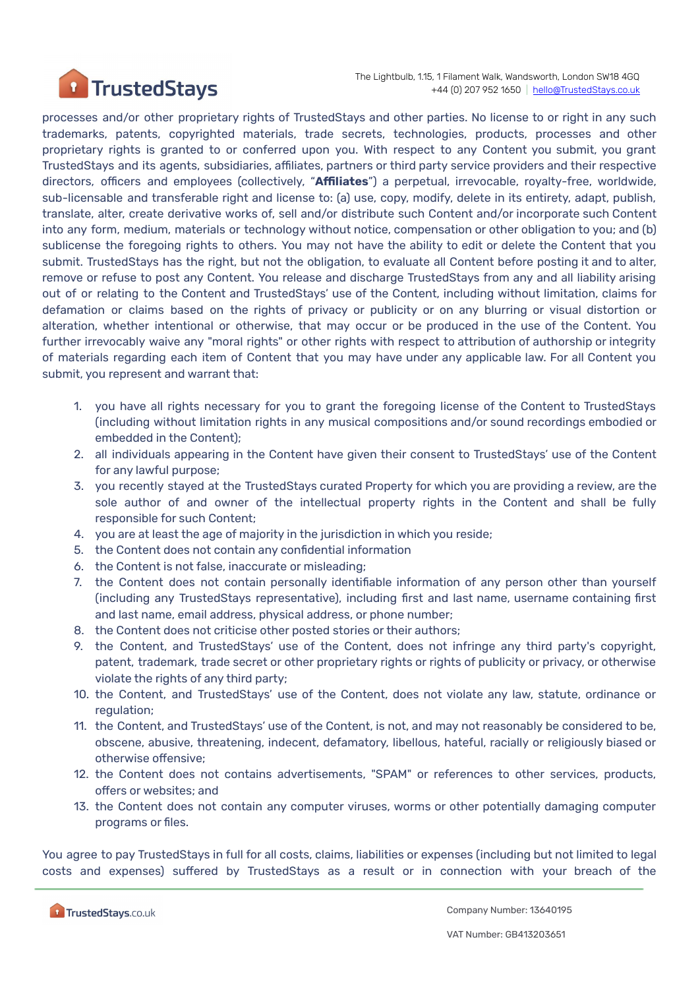

processes and/or other proprietary rights of TrustedStays and other parties. No license to or right in any such trademarks, patents, copyrighted materials, trade secrets, technologies, products, processes and other proprietary rights is granted to or conferred upon you. With respect to any Content you submit, you grant TrustedStays and its agents, subsidiaries, affiliates, partners or third party service providers and their respective directors, officers and employees (collectively, "**Affiliates**") a perpetual, irrevocable, royalty-free, worldwide, sub-licensable and transferable right and license to: (a) use, copy, modify, delete in its entirety, adapt, publish, translate, alter, create derivative works of, sell and/or distribute such Content and/or incorporate such Content into any form, medium, materials or technology without notice, compensation or other obligation to you; and (b) sublicense the foregoing rights to others. You may not have the ability to edit or delete the Content that you submit. TrustedStays has the right, but not the obligation, to evaluate all Content before posting it and to alter, remove or refuse to post any Content. You release and discharge TrustedStays from any and all liability arising out of or relating to the Content and TrustedStays' use of the Content, including without limitation, claims for defamation or claims based on the rights of privacy or publicity or on any blurring or visual distortion or alteration, whether intentional or otherwise, that may occur or be produced in the use of the Content. You further irrevocably waive any "moral rights" or other rights with respect to attribution of authorship or integrity of materials regarding each item of Content that you may have under any applicable law. For all Content you submit, you represent and warrant that:

- 1. you have all rights necessary for you to grant the foregoing license of the Content to TrustedStays (including without limitation rights in any musical compositions and/or sound recordings embodied or embedded in the Content);
- 2. all individuals appearing in the Content have given their consent to TrustedStays' use of the Content for any lawful purpose;
- 3. you recently stayed at the TrustedStays curated Property for which you are providing a review, are the sole author of and owner of the intellectual property rights in the Content and shall be fully responsible for such Content;
- 4. you are at least the age of majority in the jurisdiction in which you reside;
- 5. the Content does not contain any confidential information
- 6. the Content is not false, inaccurate or misleading;
- 7. the Content does not contain personally identifiable information of any person other than yourself (including any TrustedStays representative), including first and last name, username containing first and last name, email address, physical address, or phone number;
- 8. the Content does not criticise other posted stories or their authors;
- 9. the Content, and TrustedStays' use of the Content, does not infringe any third party's copyright, patent, trademark, trade secret or other proprietary rights or rights of publicity or privacy, or otherwise violate the rights of any third party;
- 10. the Content, and TrustedStays' use of the Content, does not violate any law, statute, ordinance or regulation;
- 11. the Content, and TrustedStays' use of the Content, is not, and may not reasonably be considered to be, obscene, abusive, threatening, indecent, defamatory, libellous, hateful, racially or religiously biased or otherwise offensive;
- 12. the Content does not contains advertisements, "SPAM" or references to other services, products, offers or websites; and
- 13. the Content does not contain any computer viruses, worms or other potentially damaging computer programs or files.

You agree to pay TrustedStays in full for all costs, claims, liabilities or expenses (including but not limited to legal costs and expenses) suffered by TrustedStays as a result or in connection with your breach of the

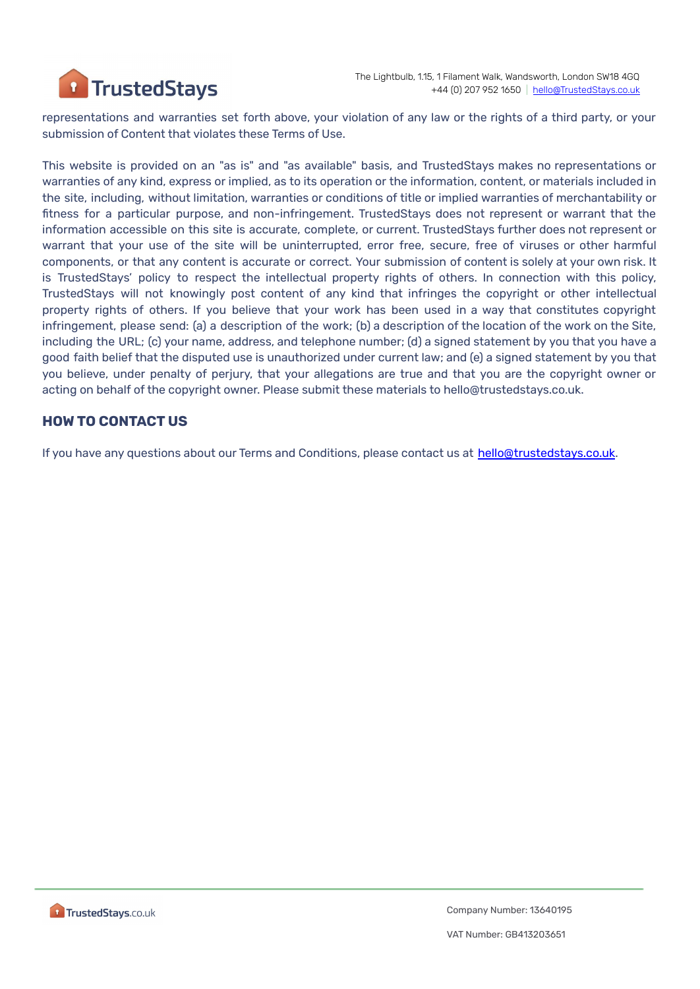

representations and warranties set forth above, your violation of any law or the rights of a third party, or your submission of Content that violates these Terms of Use.

This website is provided on an "as is" and "as available" basis, and TrustedStays makes no representations or warranties of any kind, express or implied, as to its operation or the information, content, or materials included in the site, including, without limitation, warranties or conditions of title or implied warranties of merchantability or fitness for a particular purpose, and non-infringement. TrustedStays does not represent or warrant that the information accessible on this site is accurate, complete, or current. TrustedStays further does not represent or warrant that your use of the site will be uninterrupted, error free, secure, free of viruses or other harmful components, or that any content is accurate or correct. Your submission of content is solely at your own risk. It is TrustedStays' policy to respect the intellectual property rights of others. In connection with this policy, TrustedStays will not knowingly post content of any kind that infringes the copyright or other intellectual property rights of others. If you believe that your work has been used in a way that constitutes copyright infringement, please send: (a) a description of the work; (b) a description of the location of the work on the Site, including the URL; (c) your name, address, and telephone number; (d) a signed statement by you that you have a good faith belief that the disputed use is unauthorized under current law; and (e) a signed statement by you that you believe, under penalty of perjury, that your allegations are true and that you are the copyright owner or acting on behalf of the copyright owner. Please submit these materials to hello@trustedstays.co.uk.

#### **HOW TO CONTACT US**

If you have any questions about our Terms and Conditions, please contact us at [hello@trustedstays.co.uk.](mailto:hello@trustedstays.co.uk)

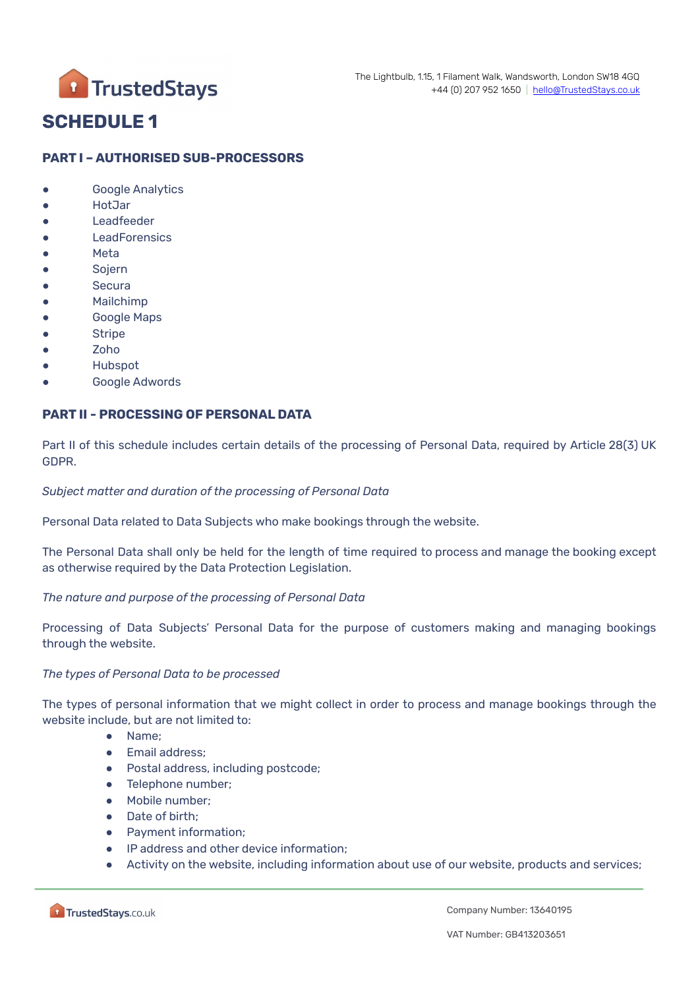

# **SCHEDULE 1**

#### **PART I – AUTHORISED SUB-PROCESSORS**

- Google Analytics
- HotJar
- Leadfeeder
- LeadForensics
- Meta
- **Sojern**
- Secura
- Mailchimp
- Google Maps
- Stripe
- Zoho
- **Hubspot**
- Google Adwords

#### **PART II - PROCESSING OF PERSONAL DATA**

Part II of this schedule includes certain details of the processing of Personal Data, required by Article 28(3) UK GDPR.

#### *Subject matter and duration of the processing of Personal Data*

Personal Data related to Data Subjects who make bookings through the website.

The Personal Data shall only be held for the length of time required to process and manage the booking except as otherwise required by the Data Protection Legislation.

#### *The nature and purpose of the processing of Personal Data*

Processing of Data Subjects' Personal Data for the purpose of customers making and managing bookings through the website.

#### *The types of Personal Data to be processed*

The types of personal information that we might collect in order to process and manage bookings through the website include, but are not limited to:

- Name;
- Email address;
- Postal address, including postcode;
- Telephone number:
- Mobile number;
- Date of birth;
- Payment information;
- IP address and other device information;
- Activity on the website, including information about use of our website, products and services;